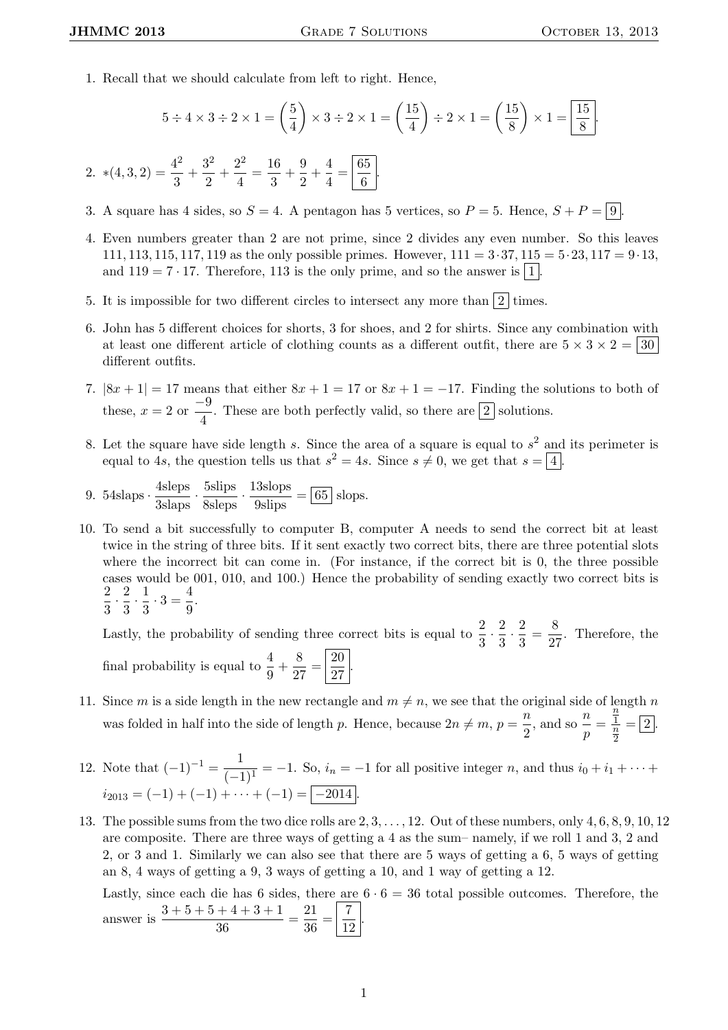1. Recall that we should calculate from left to right. Hence,

$$
5 \div 4 \times 3 \div 2 \times 1 = \left(\frac{5}{4}\right) \times 3 \div 2 \times 1 = \left(\frac{15}{4}\right) \div 2 \times 1 = \left(\frac{15}{8}\right) \times 1 = \boxed{\frac{15}{8}}.
$$
  
2. 
$$
*(4,3,2) = \frac{4^2}{3} + \frac{3^2}{2} + \frac{2^2}{4} = \frac{16}{3} + \frac{9}{2} + \frac{4}{4} = \boxed{\frac{65}{6}}.
$$

- 3. A square has 4 sides, so  $S = 4$ . A pentagon has 5 vertices, so  $P = 5$ . Hence,  $S + P = |9|$ .
- 4. Even numbers greater than 2 are not prime, since 2 divides any even number. So this leaves 111, 113, 115, 117, 119 as the only possible primes. However,  $111 = 3 \cdot 37$ ,  $115 = 5 \cdot 23$ ,  $117 = 9 \cdot 13$ , and  $119 = 7 \cdot 17$ . Therefore, 113 is the only prime, and so the answer is  $\boxed{1}$
- 5. It is impossible for two different circles to intersect any more than  $\boxed{2}$  times.
- 6. John has 5 different choices for shorts, 3 for shoes, and 2 for shirts. Since any combination with at least one different article of clothing counts as a different outfit, there are  $5 \times 3 \times 2 = |30|$ different outfits.
- 7.  $|8x+1|=17$  means that either  $8x+1=17$  or  $8x+1=-17$ . Finding the solutions to both of these,  $x = 2$  or  $\frac{-9}{4}$  $\frac{1}{4}$ . These are both perfectly valid, so there are  $\boxed{2}$  solutions.
- 8. Let the square have side length s. Since the area of a square is equal to  $s^2$  and its perimeter is equal to 4s, the question tells us that  $s^2 = 4s$ . Since  $s \neq 0$ , we get that  $s = \boxed{4}$ .
- 9. 54slaps ·  $\frac{\text{4sleps}}{\text{3slangs}} \cdot \frac{\text{5slips}}{\text{8slegs}} \cdot \frac{13 \text{slops}}{\text{9sligs}} = \boxed{65}$  slops.
- 10. To send a bit successfully to computer B, computer A needs to send the correct bit at least twice in the string of three bits. If it sent exactly two correct bits, there are three potential slots where the incorrect bit can come in. (For instance, if the correct bit is 0, the three possible cases would be 001, 010, and 100.) Hence the probability of sending exactly two correct bits is 2  $\frac{2}{3} \cdot \frac{2}{3}$  $\frac{2}{3} \cdot \frac{1}{3}$  $\frac{1}{3} \cdot 3 = \frac{4}{9}$  $\frac{1}{9}$ .

Lastly, the probability of sending three correct bits is equal to  $\frac{2}{3} \cdot \frac{2}{3}$  $\frac{2}{3} \cdot \frac{2}{3}$  $\frac{2}{3} = \frac{8}{2}$  $\frac{6}{27}$ . Therefore, the final probability is equal to  $\frac{4}{9} + \frac{8}{2}$  $rac{8}{27} = \frac{20}{27}$  $\frac{28}{27}$ 

- 11. Since m is a side length in the new rectangle and  $m \neq n$ , we see that the original side of length n was folded in half into the side of length p. Hence, because  $2n \neq m, p = \frac{n}{2}$  $\frac{n}{2}$ , and so  $\frac{n}{p}$  =  $\overline{n}$  $\frac{1}{n}$ 2  $=$  |2|.
- 12. Note that  $(-1)^{-1} = \frac{1}{\sqrt{1}}$  $\frac{1}{(-1)^1}$  = -1. So,  $i_n$  = -1 for all positive integer n, and thus  $i_0 + i_1 + \cdots$  $i_{2013} = (-1) + (-1) + \cdots + (-1) = \boxed{-2014}$ .
- 13. The possible sums from the two dice rolls are  $2, 3, \ldots, 12$ . Out of these numbers, only  $4, 6, 8, 9, 10, 12$ are composite. There are three ways of getting a 4 as the sum– namely, if we roll 1 and 3, 2 and 2, or 3 and 1. Similarly we can also see that there are 5 ways of getting a 6, 5 ways of getting an 8, 4 ways of getting a 9, 3 ways of getting a 10, and 1 way of getting a 12.

Lastly, since each die has 6 sides, there are  $6 \cdot 6 = 36$  total possible outcomes. Therefore, the answer is  $\frac{3+5+5+4+3+1}{36}$  $\frac{+4+3+1}{36} = \frac{21}{36}$  $rac{21}{36} = \frac{7}{12}$ 12 .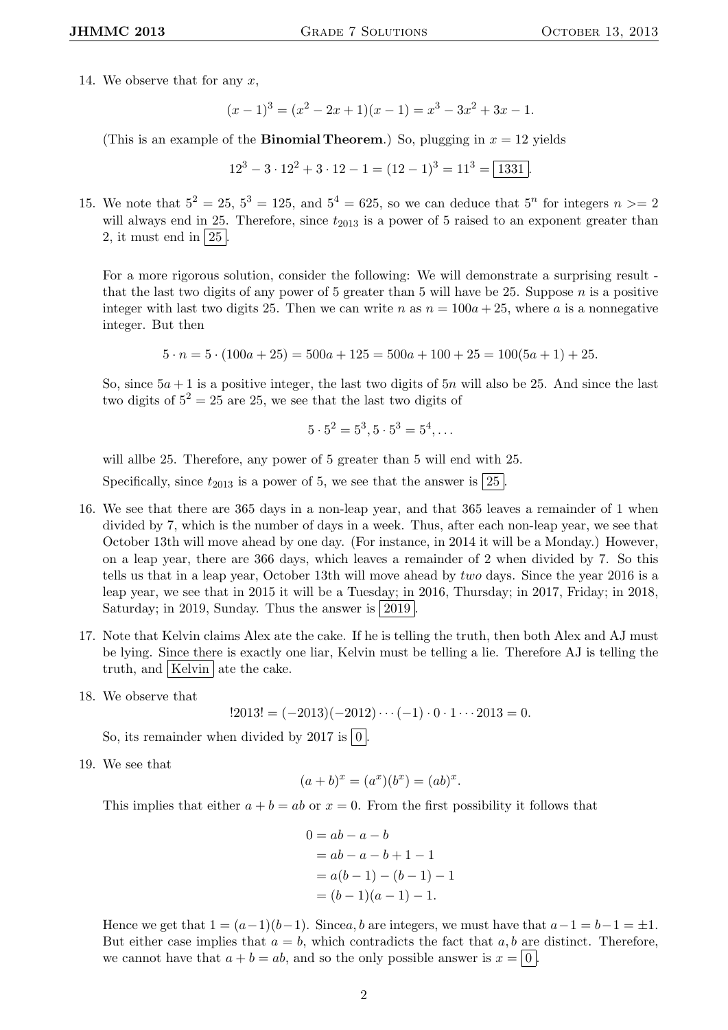14. We observe that for any  $x$ ,

$$
(x-1)3 = (x2 - 2x + 1)(x - 1) = x3 - 3x2 + 3x - 1.
$$

(This is an example of the **Binomial Theorem.**) So, plugging in  $x = 12$  yields

 $12^3 - 3 \cdot 12^2 + 3 \cdot 12 - 1 = (12 - 1)^3 = 11^3 = \boxed{1331}$ 

15. We note that  $5^2 = 25$ ,  $5^3 = 125$ , and  $5^4 = 625$ , so we can deduce that  $5^n$  for integers  $n \ge 2$ will always end in 25. Therefore, since  $t_{2013}$  is a power of 5 raised to an exponent greater than 2, it must end in  $|25|$ .

For a more rigorous solution, consider the following: We will demonstrate a surprising result that the last two digits of any power of 5 greater than 5 will have be 25. Suppose  $n$  is a positive integer with last two digits 25. Then we can write n as  $n = 100a + 25$ , where a is a nonnegative integer. But then

 $5 \cdot n = 5 \cdot (100a + 25) = 500a + 125 = 500a + 100 + 25 = 100(5a + 1) + 25.$ 

So, since  $5a + 1$  is a positive integer, the last two digits of  $5n$  will also be 25. And since the last two digits of  $5^2 = 25$  are 25, we see that the last two digits of

$$
5 \cdot 5^2 = 5^3, 5 \cdot 5^3 = 5^4, \dots
$$

will allbe 25. Therefore, any power of 5 greater than 5 will end with 25.

Specifically, since  $t_{2013}$  is a power of 5, we see that the answer is  $|25|$ .

- 16. We see that there are 365 days in a non-leap year, and that 365 leaves a remainder of 1 when divided by 7, which is the number of days in a week. Thus, after each non-leap year, we see that October 13th will move ahead by one day. (For instance, in 2014 it will be a Monday.) However, on a leap year, there are 366 days, which leaves a remainder of 2 when divided by 7. So this tells us that in a leap year, October 13th will move ahead by two days. Since the year 2016 is a leap year, we see that in 2015 it will be a Tuesday; in 2016, Thursday; in 2017, Friday; in 2018, Saturday; in 2019, Sunday. Thus the answer is  $\boxed{2019}$
- 17. Note that Kelvin claims Alex ate the cake. If he is telling the truth, then both Alex and AJ must be lying. Since there is exactly one liar, Kelvin must be telling a lie. Therefore AJ is telling the truth, and Kelvin ate the cake.
- 18. We observe that

 $!2013! = (-2013)(-2012)\cdots(-1) \cdot 0 \cdot 1 \cdots 2013 = 0.$ 

So, its remainder when divided by 2017 is  $\boxed{0}$ .

19. We see that

$$
(a+b)^{x} = (a^{x})(b^{x}) = (ab)^{x}.
$$

This implies that either  $a + b = ab$  or  $x = 0$ . From the first possibility it follows that

$$
0 = ab - a - b
$$
  
= ab - a - b + 1 - 1  
= a(b - 1) - (b - 1) - 1  
= (b - 1)(a - 1) - 1.

Hence we get that  $1 = (a-1)(b-1)$ . Since a, b are integers, we must have that  $a-1 = b-1 = \pm 1$ . But either case implies that  $a = b$ , which contradicts the fact that a, b are distinct. Therefore, we cannot have that  $a + b = ab$ , and so the only possible answer is  $x = |0|$ .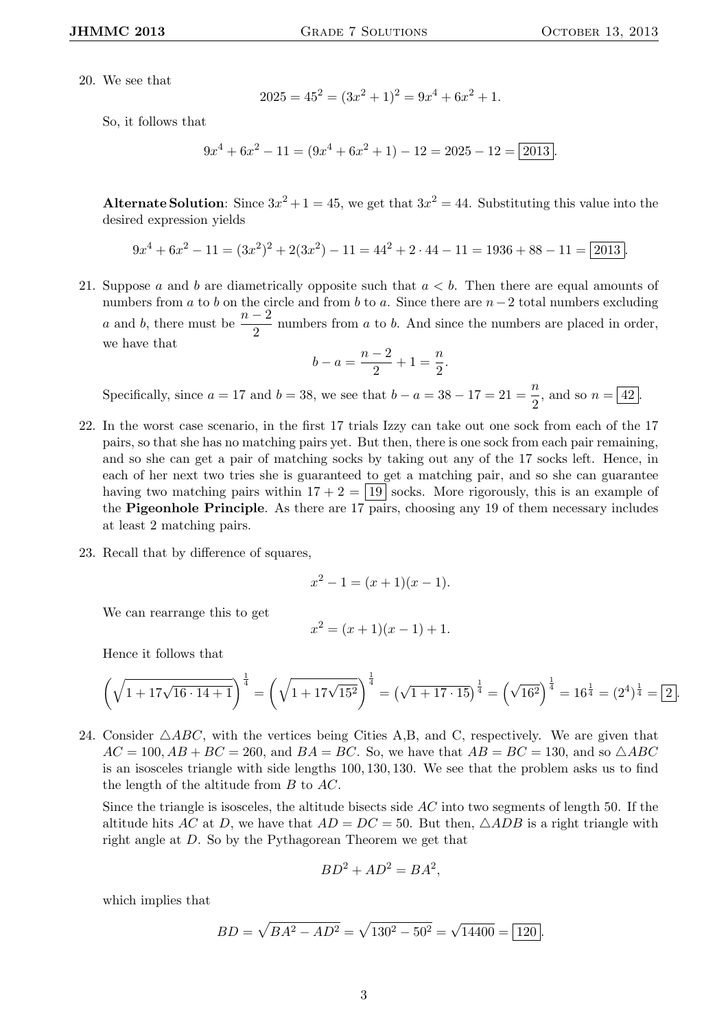20. We see that

$$
2025 = 45^2 = (3x^2 + 1)^2 = 9x^4 + 6x^2 + 1.
$$

So, it follows that

$$
9x4 + 6x2 - 11 = (9x4 + 6x2 + 1) - 12 = 2025 - 12 = 2013.
$$

Alternate Solution: Since  $3x^2 + 1 = 45$ , we get that  $3x^2 = 44$ . Substituting this value into the desired expression yields

$$
9x4 + 6x2 - 11 = (3x2)2 + 2(3x2) - 11 = 442 + 2 \cdot 44 - 11 = 1936 + 88 - 11 = 2013.
$$

21. Suppose a and b are diametrically opposite such that  $a < b$ . Then there are equal amounts of numbers from a to b on the circle and from b to a. Since there are  $n-2$  total numbers excluding a and b, there must be  $\frac{n-2}{2}$  numbers from a to b. And since the numbers are placed in order, we have that

$$
b - a = \frac{n-2}{2} + 1 = \frac{n}{2}.
$$

Specifically, since  $a = 17$  and  $b = 38$ , we see that  $b - a = 38 - 17 = 21 = \frac{n}{2}$  $\frac{\pi}{2}$ , and so  $n = \boxed{42}$ .

- 22. In the worst case scenario, in the first 17 trials Izzy can take out one sock from each of the 17 pairs, so that she has no matching pairs yet. But then, there is one sock from each pair remaining, and so she can get a pair of matching socks by taking out any of the 17 socks left. Hence, in each of her next two tries she is guaranteed to get a matching pair, and so she can guarantee having two matching pairs within  $17 + 2 = |19|$  socks. More rigorously, this is an example of the Pigeonhole Principle. As there are 17 pairs, choosing any 19 of them necessary includes at least 2 matching pairs.
- 23. Recall that by difference of squares,

$$
x^2 - 1 = (x + 1)(x - 1).
$$

We can rearrange this to get

$$
x^2 = (x+1)(x-1) + 1.
$$

Hence it follows that

$$
\left(\sqrt{1+17\sqrt{16\cdot 14+1}}\right)^{\frac{1}{4}} = \left(\sqrt{1+17\sqrt{15^2}}\right)^{\frac{1}{4}} = \left(\sqrt{1+17\cdot 15}\right)^{\frac{1}{4}} = \left(\sqrt{16^2}\right)^{\frac{1}{4}} = 16^{\frac{1}{4}} = (2^4)^{\frac{1}{4}} = \boxed{2}.
$$

24. Consider  $\triangle ABC$ , with the vertices being Cities A,B, and C, respectively. We are given that  $AC = 100, AB + BC = 260$ , and  $BA = BC$ . So, we have that  $AB = BC = 130$ , and so  $\triangle ABC$ is an isosceles triangle with side lengths 100, 130, 130. We see that the problem asks us to find the length of the altitude from B to AC.

Since the triangle is isosceles, the altitude bisects side  $AC$  into two segments of length 50. If the altitude hits AC at D, we have that  $AD = DC = 50$ . But then,  $\triangle ADB$  is a right triangle with right angle at D. So by the Pythagorean Theorem we get that

$$
BD^2 + AD^2 = BA^2,
$$

which implies that

$$
BD = \sqrt{BA^2 - AD^2} = \sqrt{130^2 - 50^2} = \sqrt{14400} = \boxed{120}.
$$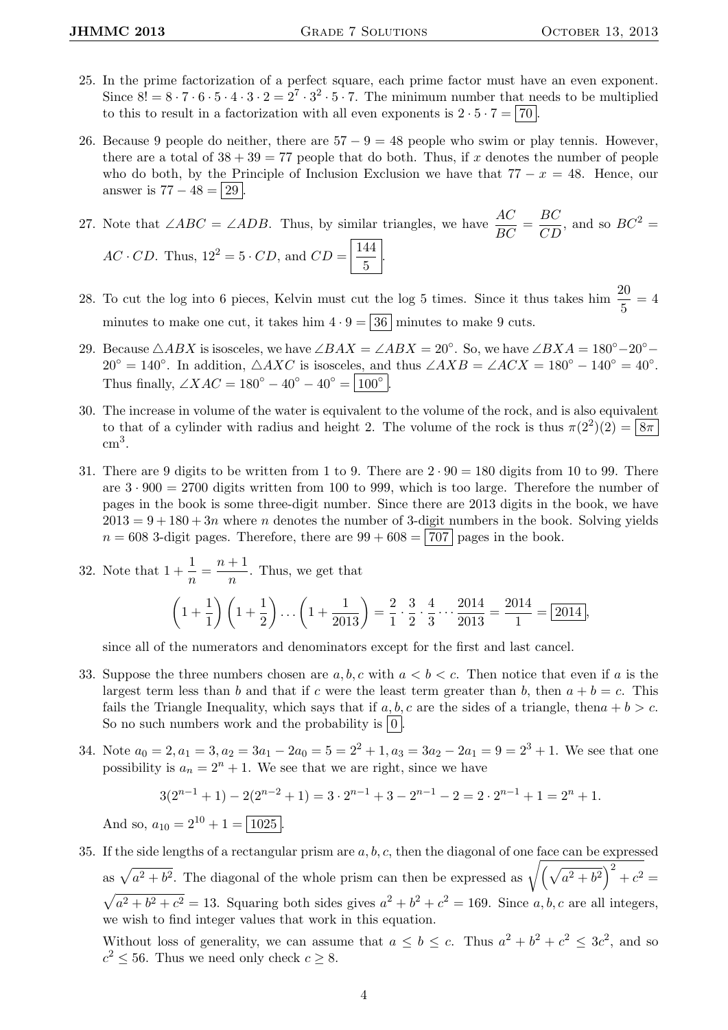- 25. In the prime factorization of a perfect square, each prime factor must have an even exponent. Since  $8! = 8 \cdot 7 \cdot 6 \cdot 5 \cdot 4 \cdot 3 \cdot 2 = 2^7 \cdot 3^2 \cdot 5 \cdot 7$ . The minimum number that needs to be multiplied to this to result in a factorization with all even exponents is  $2 \cdot 5 \cdot 7 = 70$ .
- 26. Because 9 people do neither, there are  $57 9 = 48$  people who swim or play tennis. However, there are a total of  $38 + 39 = 77$  people that do both. Thus, if x denotes the number of people who do both, by the Principle of Inclusion Exclusion we have that  $77 - x = 48$ . Hence, our answer is  $77 - 48 = 29$ .

27. Note that ∠*ABC* = ∠*ADB*. Thus, by similar triangles, we have  $\frac{AC}{BC} = \frac{BC}{CD}$ , and so  $BC^2 =$  $AC \cdot CD$ . Thus,  $12^2 = 5 \cdot CD$ , and  $CD = \frac{144}{5}$  $\frac{1}{5}$ .

- 28. To cut the log into 6 pieces, Kelvin must cut the log 5 times. Since it thus takes him  $\frac{20}{5} = 4$ minutes to make one cut, it takes him  $4 \cdot 9 = 36$  minutes to make 9 cuts.
- 29. Because  $\triangle ABX$  is isosceles, we have  $\angle BAX = \angle ABX = 20^{\circ}$ . So, we have  $\angle BXA = 180^{\circ} 20^{\circ} 160^{\circ}$  $20^{\circ} = 140^{\circ}$ . In addition,  $\triangle AXC$  is isosceles, and thus  $\angle AXB = \angle ACX = 180^{\circ} - 140^{\circ} = 40^{\circ}$ . Thus finally,  $\angle XAC = 180^{\circ} - 40^{\circ} - 40^{\circ} = |100^{\circ}|$ .
- 30. The increase in volume of the water is equivalent to the volume of the rock, and is also equivalent to that of a cylinder with radius and height 2. The volume of the rock is thus  $\pi(2^2)(2) = 8\pi$  $\text{cm}^3$ .
- 31. There are 9 digits to be written from 1 to 9. There are  $2 \cdot 90 = 180$  digits from 10 to 99. There are  $3 \cdot 900 = 2700$  digits written from 100 to 999, which is too large. Therefore the number of pages in the book is some three-digit number. Since there are 2013 digits in the book, we have  $2013 = 9 + 180 + 3n$  where n denotes the number of 3-digit numbers in the book. Solving yields  $n = 608$  3-digit pages. Therefore, there are  $99 + 608 = 707$  pages in the book.

32. Note that 
$$
1 + \frac{1}{n} = \frac{n+1}{n}
$$
. Thus, we get that  
\n
$$
\left(1 + \frac{1}{1}\right)\left(1 + \frac{1}{2}\right)\dots\left(1 + \frac{1}{2013}\right) = \frac{2}{1} \cdot \frac{3}{2} \cdot \frac{4}{3} \dots \frac{2014}{2013} = \frac{2014}{1} = \boxed{2014},
$$

since all of the numerators and denominators except for the first and last cancel.

- 33. Suppose the three numbers chosen are  $a, b, c$  with  $a < b < c$ . Then notice that even if a is the largest term less than b and that if c were the least term greater than b, then  $a + b = c$ . This fails the Triangle Inequality, which says that if a, b, c are the sides of a triangle, then  $a + b > c$ . So no such numbers work and the probability is  $\vert 0 \vert$ .
- 34. Note  $a_0 = 2, a_1 = 3, a_2 = 3a_1 2a_0 = 5 = 2^2 + 1, a_3 = 3a_2 2a_1 = 9 = 2^3 + 1$ . We see that one possibility is  $a_n = 2^n + 1$ . We see that we are right, since we have

$$
3(2^{n-1}+1) - 2(2^{n-2}+1) = 3 \cdot 2^{n-1} + 3 - 2^{n-1} - 2 = 2 \cdot 2^{n-1} + 1 = 2^n + 1.
$$

And so,  $a_{10} = 2^{10} + 1 = \boxed{1025}$ .

35. If the side lengths of a rectangular prism are  $a, b, c$ , then the diagonal of one face can be expressed as  $\sqrt{a^2 + b^2}$ . The diagonal of the whole prism can then be expressed as  $\sqrt{(\sqrt{a^2 + b^2})^2 + c^2}$  $\sqrt{a^2 + b^2 + c^2} = 13$ . Squaring both sides gives  $a^2 + b^2 + c^2 = 169$ . Since a, b, c are all integers, we wish to find integer values that work in this equation. Without loss of generality, we can assume that  $a \leq b \leq c$ . Thus  $a^2 + b^2 + c^2 \leq 3c^2$ , and so  $c^2 \leq 56$ . Thus we need only check  $c \geq 8$ .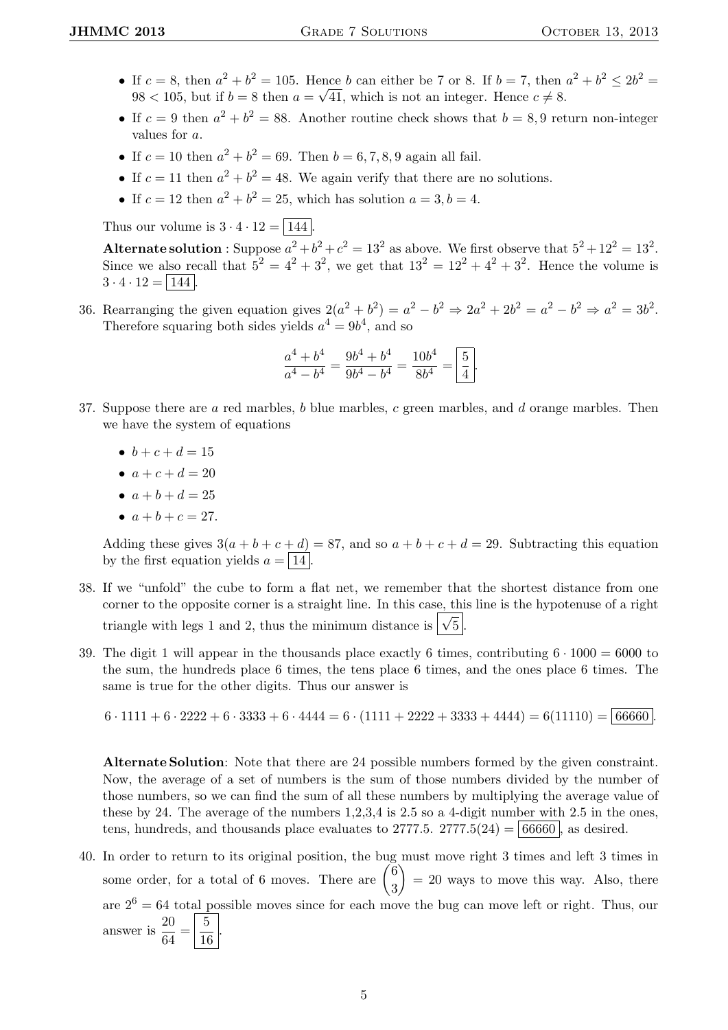- If  $c = 8$ , then  $a^2 + b^2 = 105$ . Hence b can either be 7 or 8. If  $b = 7$ , then  $a^2 + b^2 \le 2b^2 = 105$ .  $98 < 105$ , but if  $b = 8$  then  $a = \sqrt{41}$ , which is not an integer. Hence  $c \neq 8$ .
- If  $c = 9$  then  $a^2 + b^2 = 88$ . Another routine check shows that  $b = 8, 9$  return non-integer values for a.
- If  $c = 10$  then  $a^2 + b^2 = 69$ . Then  $b = 6, 7, 8, 9$  again all fail.
- If  $c = 11$  then  $a^2 + b^2 = 48$ . We again verify that there are no solutions.
- If  $c = 12$  then  $a^2 + b^2 = 25$ , which has solution  $a = 3, b = 4$ .

Thus our volume is  $3 \cdot 4 \cdot 12 = \boxed{144}$ .

Alternate solution : Suppose  $a^2 + b^2 + c^2 = 13^2$  as above. We first observe that  $5^2 + 12^2 = 13^2$ . Since we also recall that  $5^2 = 4^2 + 3^2$ , we get that  $13^2 = 12^2 + 4^2 + 3^2$ . Hence the volume is  $3 \cdot 4 \cdot 12 = |144|$ .

36. Rearranging the given equation gives  $2(a^2 + b^2) = a^2 - b^2 \Rightarrow 2a^2 + 2b^2 = a^2 - b^2 \Rightarrow a^2 = 3b^2$ . Therefore squaring both sides yields  $a^4 = 9b^4$ , and so

$$
\frac{a^4 + b^4}{a^4 - b^4} = \frac{9b^4 + b^4}{9b^4 - b^4} = \frac{10b^4}{8b^4} = \boxed{\frac{5}{4}}.
$$

- 37. Suppose there are  $a$  red marbles,  $b$  blue marbles,  $c$  green marbles, and  $d$  orange marbles. Then we have the system of equations
	- $b + c + d = 15$
	- $a + c + d = 20$
	- $a + b + d = 25$
	- $a + b + c = 27$ .

Adding these gives  $3(a + b + c + d) = 87$ , and so  $a + b + c + d = 29$ . Subtracting this equation by the first equation yields  $a = 14$ .

- 38. If we "unfold" the cube to form a flat net, we remember that the shortest distance from one corner to the opposite corner is a straight line. In this case, this line is the hypotenuse of a right triangle with legs 1 and 2, thus the minimum distance is  $\sqrt{5}$ .
- 39. The digit 1 will appear in the thousands place exactly 6 times, contributing  $6 \cdot 1000 = 6000$  to the sum, the hundreds place 6 times, the tens place 6 times, and the ones place 6 times. The same is true for the other digits. Thus our answer is

 $6 \cdot 1111 + 6 \cdot 2222 + 6 \cdot 3333 + 6 \cdot 4444 = 6 \cdot (1111 + 2222 + 3333 + 4444) = 6(11110) = 66660$ 

Alternate Solution: Note that there are 24 possible numbers formed by the given constraint. Now, the average of a set of numbers is the sum of those numbers divided by the number of those numbers, so we can find the sum of all these numbers by multiplying the average value of these by 24. The average of the numbers 1,2,3,4 is 2.5 so a 4-digit number with 2.5 in the ones, tens, hundreds, and thousands place evaluates to  $2777.5$ .  $2777.5(24) = 66660$ , as desired.

40. In order to return to its original position, the bug must move right 3 times and left 3 times in some order, for a total of 6 moves. There are  $\begin{pmatrix} 6 \\ 0 \end{pmatrix}$ 3  $= 20$  ways to move this way. Also, there are  $2^6 = 64$  total possible moves since for each move the bug can move left or right. Thus, our answer is  $\frac{20}{c_4}$  $\frac{20}{64} = \frac{5}{16}$  $\frac{6}{16}$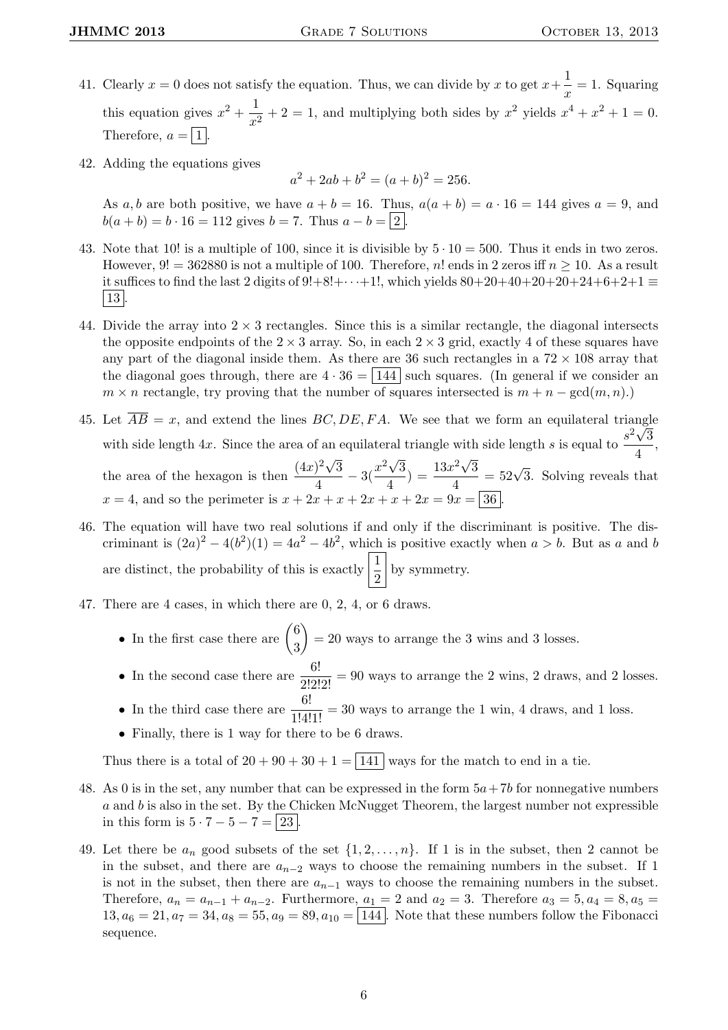- 41. Clearly  $x = 0$  does not satisfy the equation. Thus, we can divide by x to get  $x + \frac{1}{x}$  $\frac{1}{x} = 1$ . Squaring this equation gives  $x^2 + \frac{1}{x}$  $\frac{1}{x^2} + 2 = 1$ , and multiplying both sides by  $x^2$  yields  $x^4 + x^2 + 1 = 0$ . Therefore,  $a = |1|$
- 42. Adding the equations gives

$$
a^2 + 2ab + b^2 = (a+b)^2 = 256.
$$

As a, b are both positive, we have  $a + b = 16$ . Thus,  $a(a + b) = a \cdot 16 = 144$  gives  $a = 9$ , and  $b(a + b) = b \cdot 16 = 112$  gives  $b = 7$ . Thus  $a - b = |2|$ .

- 43. Note that 10! is a multiple of 100, since it is divisible by  $5 \cdot 10 = 500$ . Thus it ends in two zeros. However,  $9! = 362880$  is not a multiple of 100. Therefore, n! ends in 2 zeros iff  $n \ge 10$ . As a result it suffices to find the last 2 digits of  $9!+8!+\cdots+1!$ , which yields  $80+20+40+20+20+24+6+2+1 \equiv$  $|13|$
- 44. Divide the array into  $2 \times 3$  rectangles. Since this is a similar rectangle, the diagonal intersects the opposite endpoints of the  $2 \times 3$  array. So, in each  $2 \times 3$  grid, exactly 4 of these squares have any part of the diagonal inside them. As there are 36 such rectangles in a  $72 \times 108$  array that the diagonal goes through, there are  $4 \cdot 36 = |144|$  such squares. (In general if we consider an  $m \times n$  rectangle, try proving that the number of squares intersected is  $m + n - \gcd(m, n)$ .
- 45. Let  $\overline{AB} = x$ , and extend the lines  $\overline{BC}, \overline{DE}, \overline{FA}$ . We see that we form an equilateral triangle with side length 4x. Since the area of an equilateral triangle with side length s is equal to  $\frac{s^2\sqrt{3}}{4}$  $\frac{v}{4}$ , the area of the hexagon is then  $\frac{(4x)^2\sqrt{3}}{4}$ √ √ √  $\frac{1}{4}$ <sup>2</sup> $\sqrt{3}$ <sup>2</sup> $\frac{x^2\sqrt{3}}{4}$  $\frac{(\sqrt{3})}{4}$  =  $\frac{13x^2\sqrt{3}}{4}$  $\frac{e^{2}\sqrt{3}}{4}$  = 52 $\sqrt{3}$ . Solving reveals that  $x = 4$ , and so the perimeter is  $x + 2x + x + 2x + x + 2x = 9x = |36|$
- 46. The equation will have two real solutions if and only if the discriminant is positive. The discriminant is  $(2a)^2 - 4(b^2)(1) = 4a^2 - 4b^2$ , which is positive exactly when  $a > b$ . But as a and b are distinct, the probability of this is exactly  $\left| \frac{1}{2} \right|$  by symmetry.
- 47. There are 4 cases, in which there are 0, 2, 4, or 6 draws.
	- In the first case there are  $\binom{6}{3}$ 3  $= 20$  ways to arrange the 3 wins and 3 losses.
	- In the second case there are  $\frac{6!}{2!2!2!} = 90$  ways to arrange the 2 wins, 2 draws, and 2 losses.
	- In the third case there are  $\frac{6!}{1!4!1!} = 30$  ways to arrange the 1 win, 4 draws, and 1 loss.
	- Finally, there is 1 way for there to be 6 draws.

Thus there is a total of  $20 + 90 + 30 + 1 = 141$  ways for the match to end in a tie.

- 48. As 0 is in the set, any number that can be expressed in the form  $5a+7b$  for nonnegative numbers  $a$  and  $b$  is also in the set. By the Chicken McNugget Theorem, the largest number not expressible in this form is  $5 \cdot 7 - 5 - 7 = |23|$
- 49. Let there be  $a_n$  good subsets of the set  $\{1, 2, \ldots, n\}$ . If 1 is in the subset, then 2 cannot be in the subset, and there are  $a_{n-2}$  ways to choose the remaining numbers in the subset. If 1 is not in the subset, then there are  $a_{n-1}$  ways to choose the remaining numbers in the subset. Therefore,  $a_n = a_{n-1} + a_{n-2}$ . Furthermore,  $a_1 = 2$  and  $a_2 = 3$ . Therefore  $a_3 = 5, a_4 = 8, a_5 = 1$  $13, a_6 = 21, a_7 = 34, a_8 = 55, a_9 = 89, a_{10} = \boxed{144}$ . Note that these numbers follow the Fibonacci sequence.